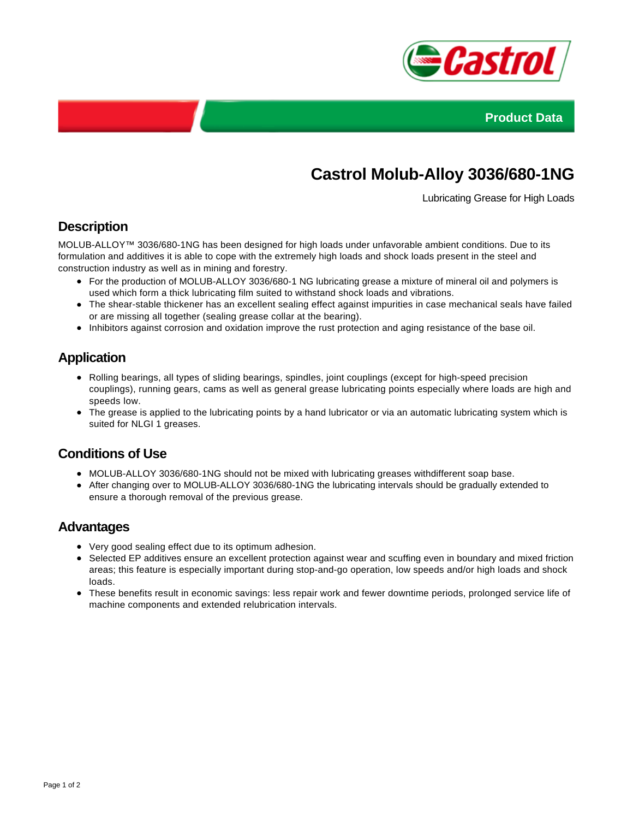



# **Castrol Molub-Alloy 3036/680-1NG**

Lubricating Grease for High Loads

## **Description**

MOLUB-ALLOY™ 3036/680-1NG has been designed for high loads under unfavorable ambient conditions. Due to its formulation and additives it is able to cope with the extremely high loads and shock loads present in the steel and construction industry as well as in mining and forestry.

- For the production of MOLUB-ALLOY 3036/680-1 NG lubricating grease a mixture of mineral oil and polymers is used which form a thick lubricating film suited to withstand shock loads and vibrations.
- The shear-stable thickener has an excellent sealing effect against impurities in case mechanical seals have failed or are missing all together (sealing grease collar at the bearing).
- Inhibitors against corrosion and oxidation improve the rust protection and aging resistance of the base oil.

## **Application**

- Rolling bearings, all types of sliding bearings, spindles, joint couplings (except for high-speed precision couplings), running gears, cams as well as general grease lubricating points especially where loads are high and speeds low.
- The grease is applied to the lubricating points by a hand lubricator or via an automatic lubricating system which is suited for NLGI 1 greases.

#### **Conditions of Use**

- MOLUB-ALLOY 3036/680-1NG should not be mixed with lubricating greases withdifferent soap base.
- After changing over to MOLUB-ALLOY 3036/680-1NG the lubricating intervals should be gradually extended to ensure a thorough removal of the previous grease.

#### **Advantages**

- Very good sealing effect due to its optimum adhesion.
- Selected EP additives ensure an excellent protection against wear and scuffing even in boundary and mixed friction areas; this feature is especially important during stop-and-go operation, low speeds and/or high loads and shock loads.
- These benefits result in economic savings: less repair work and fewer downtime periods, prolonged service life of machine components and extended relubrication intervals.